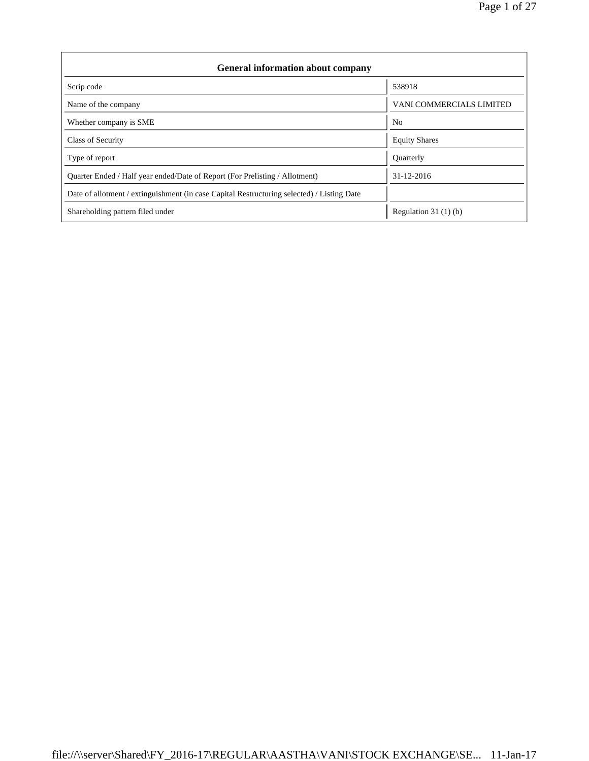| <b>General information about company</b>                                                   |                          |  |  |  |  |  |  |
|--------------------------------------------------------------------------------------------|--------------------------|--|--|--|--|--|--|
| Scrip code                                                                                 | 538918                   |  |  |  |  |  |  |
| Name of the company                                                                        | VANI COMMERCIALS LIMITED |  |  |  |  |  |  |
| Whether company is SME                                                                     | N <sub>0</sub>           |  |  |  |  |  |  |
| Class of Security                                                                          | <b>Equity Shares</b>     |  |  |  |  |  |  |
| Type of report                                                                             | Quarterly                |  |  |  |  |  |  |
| Ouarter Ended / Half year ended/Date of Report (For Prelisting / Allotment)                | 31-12-2016               |  |  |  |  |  |  |
| Date of allotment / extinguishment (in case Capital Restructuring selected) / Listing Date |                          |  |  |  |  |  |  |
| Shareholding pattern filed under                                                           | Regulation $31(1)(b)$    |  |  |  |  |  |  |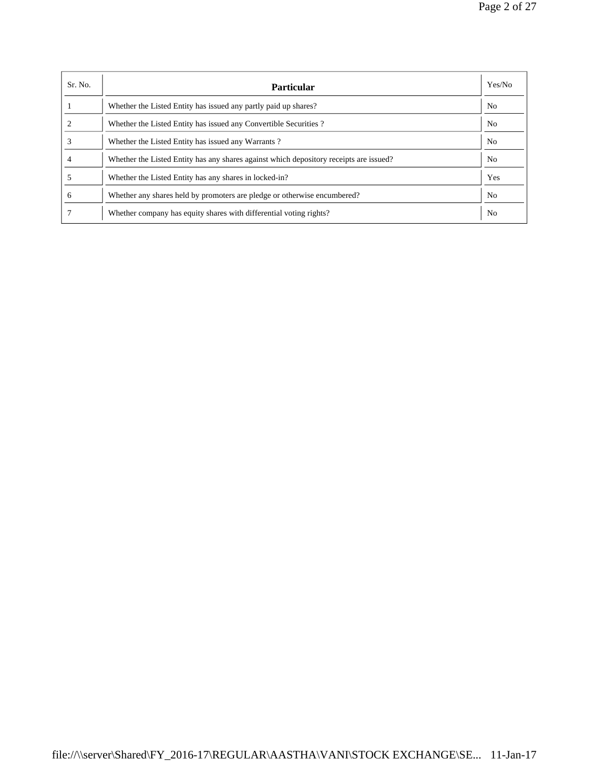| Sr. No. | Particular                                                                             | Yes/No         |
|---------|----------------------------------------------------------------------------------------|----------------|
|         | Whether the Listed Entity has issued any partly paid up shares?                        | N <sub>0</sub> |
|         | Whether the Listed Entity has issued any Convertible Securities?                       | N <sub>o</sub> |
|         | Whether the Listed Entity has issued any Warrants?                                     | N <sub>0</sub> |
|         | Whether the Listed Entity has any shares against which depository receipts are issued? | N <sub>o</sub> |
|         | Whether the Listed Entity has any shares in locked-in?                                 | Yes            |
| 6       | Whether any shares held by promoters are pledge or otherwise encumbered?               | N <sub>0</sub> |
|         | Whether company has equity shares with differential voting rights?                     | N <sub>o</sub> |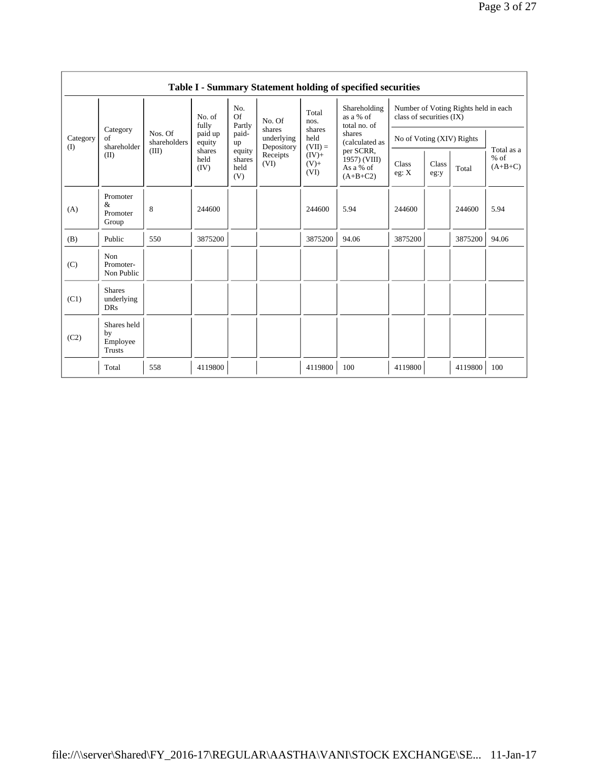|                 | Table I - Summary Statement holding of specified securities |                         |                                      |                                    |                                              |                                              |                                                                       |                                                                  |               |         |                                   |  |
|-----------------|-------------------------------------------------------------|-------------------------|--------------------------------------|------------------------------------|----------------------------------------------|----------------------------------------------|-----------------------------------------------------------------------|------------------------------------------------------------------|---------------|---------|-----------------------------------|--|
| Category<br>(I) |                                                             | Nos. Of<br>shareholders | No. of<br>fully<br>paid up<br>equity | No.<br>Of<br>Partly<br>paid-<br>up | No. Of<br>shares<br>underlying<br>Depository | Total<br>nos.<br>shares<br>held<br>$(VII) =$ | Shareholding<br>as a % of<br>total no. of<br>shares<br>(calculated as | Number of Voting Rights held in each<br>class of securities (IX) |               |         |                                   |  |
|                 | Category<br>of<br>shareholder                               |                         |                                      |                                    |                                              |                                              |                                                                       | No of Voting (XIV) Rights                                        |               |         |                                   |  |
|                 | (II)                                                        | (III)                   | shares<br>held<br>(IV)               | equity<br>shares<br>held<br>(V)    | Receipts<br>(VI)                             | $(IV)+$<br>$(V)$ +<br>(VI)                   | per SCRR,<br>1957) (VIII)<br>As a % of<br>$(A+B+C2)$                  | Class<br>eg: X<br>244600                                         | Class<br>eg:y | Total   | Total as a<br>$%$ of<br>$(A+B+C)$ |  |
| (A)             | Promoter<br>&<br>Promoter<br>Group                          | 8                       | 244600                               |                                    |                                              | 244600                                       | 5.94                                                                  |                                                                  |               | 244600  | 5.94                              |  |
| (B)             | Public                                                      | 550                     | 3875200                              |                                    |                                              | 3875200                                      | 94.06                                                                 | 3875200                                                          |               | 3875200 | 94.06                             |  |
| (C)             | Non<br>Promoter-<br>Non Public                              |                         |                                      |                                    |                                              |                                              |                                                                       |                                                                  |               |         |                                   |  |
| (C1)            | <b>Shares</b><br>underlying<br><b>DRs</b>                   |                         |                                      |                                    |                                              |                                              |                                                                       |                                                                  |               |         |                                   |  |
| (C2)            | Shares held<br>by<br>Employee<br><b>Trusts</b>              |                         |                                      |                                    |                                              |                                              |                                                                       |                                                                  |               |         |                                   |  |
|                 | Total                                                       | 558                     | 4119800                              |                                    |                                              | 4119800                                      | 100                                                                   | 4119800                                                          |               | 4119800 | 100                               |  |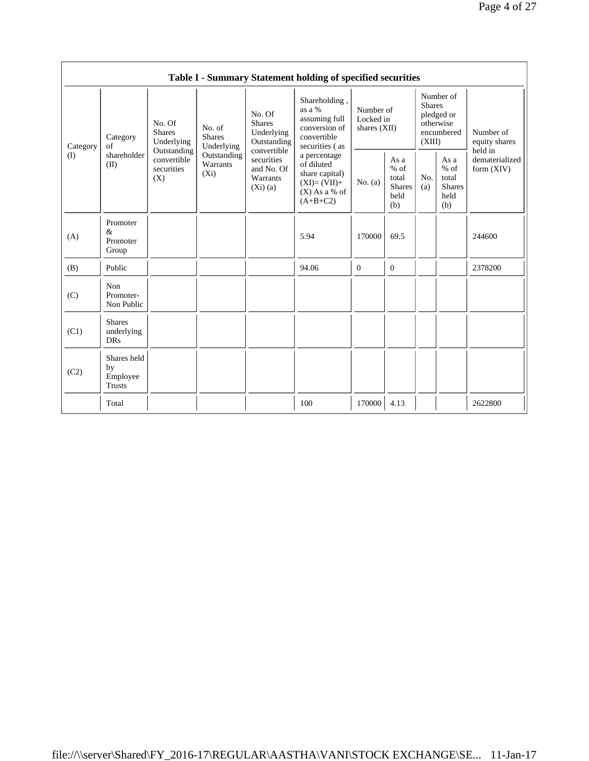|                 | Table I - Summary Statement holding of specified securities |                                                 |                                       |                                                                                                                        |                                                                                                                                                                                              |                                          |                                                         |                                                                               |                                                          |                                       |
|-----------------|-------------------------------------------------------------|-------------------------------------------------|---------------------------------------|------------------------------------------------------------------------------------------------------------------------|----------------------------------------------------------------------------------------------------------------------------------------------------------------------------------------------|------------------------------------------|---------------------------------------------------------|-------------------------------------------------------------------------------|----------------------------------------------------------|---------------------------------------|
| Category<br>(I) | Category<br>of                                              | No. Of<br><b>Shares</b><br>Underlying           | No. of<br><b>Shares</b><br>Underlying | No. Of<br><b>Shares</b><br>Underlying<br>Outstanding<br>convertible<br>securities<br>and No. Of<br>Warrants<br>(Xi)(a) | Shareholding,<br>as a %<br>assuming full<br>conversion of<br>convertible<br>securities (as<br>a percentage<br>of diluted<br>share capital)<br>$(XI)=(VII)+$<br>$(X)$ As a % of<br>$(A+B+C2)$ | Number of<br>Locked in<br>shares $(XII)$ |                                                         | Number of<br><b>Shares</b><br>pledged or<br>otherwise<br>encumbered<br>(XIII) |                                                          | Number of<br>equity shares<br>held in |
|                 | shareholder<br>(II)                                         | Outstanding<br>convertible<br>securities<br>(X) | Outstanding<br>Warrants<br>$(X_i)$    |                                                                                                                        |                                                                                                                                                                                              | No. $(a)$                                | As a<br>$%$ of<br>total<br><b>Shares</b><br>held<br>(b) | No.<br>(a)                                                                    | As a<br>$\%$ of<br>total<br><b>Shares</b><br>held<br>(b) | dematerialized<br>form $(XIV)$        |
| (A)             | Promoter<br>&<br>Promoter<br>Group                          |                                                 |                                       |                                                                                                                        | 5.94                                                                                                                                                                                         | 170000                                   | 69.5                                                    |                                                                               |                                                          | 244600                                |
| (B)             | Public                                                      |                                                 |                                       |                                                                                                                        | 94.06                                                                                                                                                                                        | $\mathbf{0}$                             | $\overline{0}$                                          |                                                                               |                                                          | 2378200                               |
| (C)             | Non<br>Promoter-<br>Non Public                              |                                                 |                                       |                                                                                                                        |                                                                                                                                                                                              |                                          |                                                         |                                                                               |                                                          |                                       |
| (C1)            | <b>Shares</b><br>underlying<br><b>DRs</b>                   |                                                 |                                       |                                                                                                                        |                                                                                                                                                                                              |                                          |                                                         |                                                                               |                                                          |                                       |
| (C2)            | Shares held<br>by<br>Employee<br><b>Trusts</b>              |                                                 |                                       |                                                                                                                        |                                                                                                                                                                                              |                                          |                                                         |                                                                               |                                                          |                                       |
|                 | Total                                                       |                                                 |                                       |                                                                                                                        | 100                                                                                                                                                                                          | 170000                                   | 4.13                                                    |                                                                               |                                                          | 2622800                               |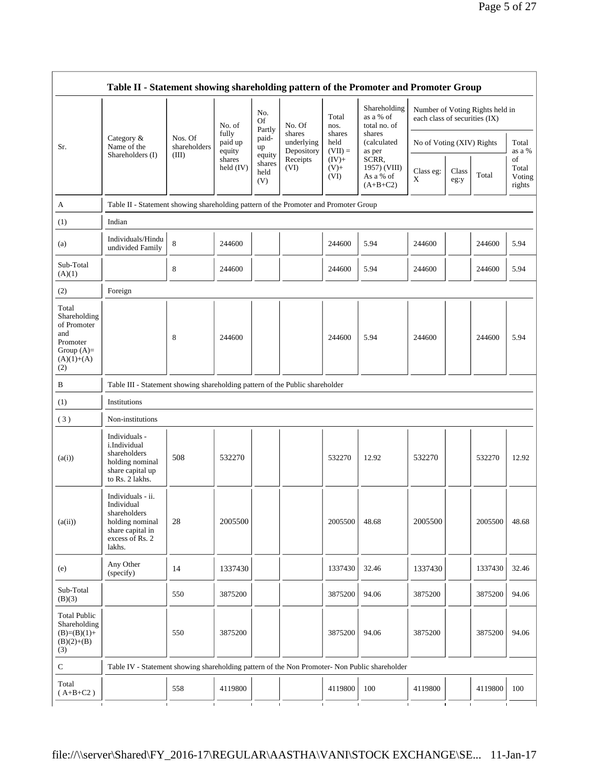|                                                                                                | Table II - Statement showing shareholding pattern of the Promoter and Promoter Group                                |                                                                                      |                                      |                                 |                                                                  |                             |                                                  |                               |               |                                 |                                 |
|------------------------------------------------------------------------------------------------|---------------------------------------------------------------------------------------------------------------------|--------------------------------------------------------------------------------------|--------------------------------------|---------------------------------|------------------------------------------------------------------|-----------------------------|--------------------------------------------------|-------------------------------|---------------|---------------------------------|---------------------------------|
|                                                                                                |                                                                                                                     |                                                                                      | No. of<br>fully<br>paid up<br>equity | No.<br><b>Of</b>                | No. Of<br>shares<br>underlying<br>Depository<br>Receipts<br>(VI) | Total<br>nos.               | Shareholding<br>as a % of<br>total no. of        | each class of securities (IX) |               | Number of Voting Rights held in |                                 |
| Sr.                                                                                            | Category &<br>Name of the<br>Shareholders (I)                                                                       | Nos. Of<br>shareholders                                                              |                                      | Partly<br>paid-<br>up           |                                                                  | shares<br>held<br>$(VII) =$ | shares<br>(calculated<br>as per                  | No of Voting (XIV) Rights     |               |                                 | Total<br>as a %                 |
|                                                                                                |                                                                                                                     | (III)                                                                                | shares<br>held $(IV)$                | equity<br>shares<br>held<br>(V) |                                                                  | $(IV)$ +<br>$(V)$ +<br>(VI) | SCRR,<br>1957) (VIII)<br>As a % of<br>$(A+B+C2)$ | Class eg:<br>$\mathbf X$      | Class<br>eg:y | Total                           | of<br>Total<br>Voting<br>rights |
| A                                                                                              |                                                                                                                     | Table II - Statement showing shareholding pattern of the Promoter and Promoter Group |                                      |                                 |                                                                  |                             |                                                  |                               |               |                                 |                                 |
| (1)                                                                                            | Indian                                                                                                              |                                                                                      |                                      |                                 |                                                                  |                             |                                                  |                               |               |                                 |                                 |
| (a)                                                                                            | Individuals/Hindu<br>undivided Family                                                                               | 8                                                                                    | 244600                               |                                 |                                                                  | 244600                      | 5.94                                             | 244600                        |               | 244600                          | 5.94                            |
| Sub-Total<br>(A)(1)                                                                            |                                                                                                                     | 8                                                                                    | 244600                               |                                 |                                                                  | 244600                      | 5.94                                             | 244600                        |               | 244600                          | 5.94                            |
| (2)                                                                                            | Foreign                                                                                                             |                                                                                      |                                      |                                 |                                                                  |                             |                                                  |                               |               |                                 |                                 |
| Total<br>Shareholding<br>of Promoter<br>and<br>Promoter<br>Group $(A)=$<br>$(A)(1)+(A)$<br>(2) |                                                                                                                     | 8                                                                                    | 244600                               |                                 |                                                                  | 244600                      | 5.94                                             | 244600                        |               | 244600                          | 5.94                            |
| B                                                                                              |                                                                                                                     | Table III - Statement showing shareholding pattern of the Public shareholder         |                                      |                                 |                                                                  |                             |                                                  |                               |               |                                 |                                 |
| (1)                                                                                            | Institutions                                                                                                        |                                                                                      |                                      |                                 |                                                                  |                             |                                                  |                               |               |                                 |                                 |
| (3)                                                                                            | Non-institutions                                                                                                    |                                                                                      |                                      |                                 |                                                                  |                             |                                                  |                               |               |                                 |                                 |
| (a(i))                                                                                         | Individuals -<br>i.Individual<br>shareholders<br>holding nominal<br>share capital up<br>to Rs. 2 lakhs.             | 508                                                                                  | 532270                               |                                 |                                                                  | 532270                      | 12.92                                            | 532270                        |               | 532270                          | 12.92                           |
| (a(ii))                                                                                        | Individuals - ii.<br>Individual<br>shareholders<br>holding nominal<br>share capital in<br>excess of Rs. 2<br>lakhs. | 28                                                                                   | 2005500                              |                                 |                                                                  | 2005500                     | 48.68                                            | 2005500                       |               | 2005500                         | 48.68                           |
| (e)                                                                                            | Any Other<br>(specify)                                                                                              | 14                                                                                   | 1337430                              |                                 |                                                                  | 1337430                     | 32.46                                            | 1337430                       |               | 1337430                         | 32.46                           |
| Sub-Total<br>(B)(3)                                                                            |                                                                                                                     | 550                                                                                  | 3875200                              |                                 |                                                                  | 3875200                     | 94.06                                            | 3875200                       |               | 3875200                         | 94.06                           |
| <b>Total Public</b><br>Shareholding<br>$(B)=(B)(1)+$<br>$(B)(2)+(B)$<br>(3)                    |                                                                                                                     | 550                                                                                  | 3875200                              |                                 |                                                                  | 3875200                     | 94.06                                            | 3875200                       |               | 3875200                         | 94.06                           |
| ${\bf C}$                                                                                      | Table IV - Statement showing shareholding pattern of the Non Promoter- Non Public shareholder                       |                                                                                      |                                      |                                 |                                                                  |                             |                                                  |                               |               |                                 |                                 |
| Total<br>$(A+B+C2)$                                                                            |                                                                                                                     | 558                                                                                  | 4119800                              |                                 |                                                                  | 4119800                     | 100                                              | 4119800                       |               | 4119800                         | 100                             |
|                                                                                                |                                                                                                                     |                                                                                      |                                      |                                 |                                                                  |                             |                                                  |                               |               |                                 |                                 |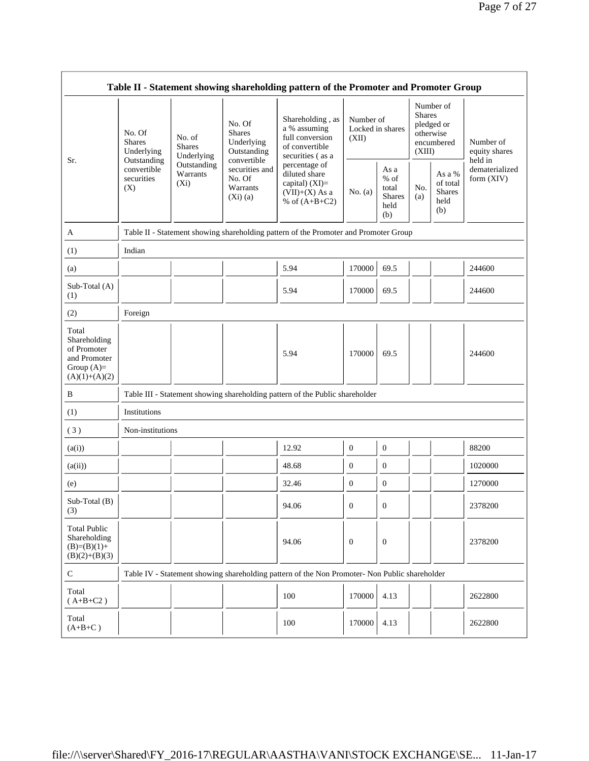|                                                                                         | Table II - Statement showing shareholding pattern of the Promoter and Promoter Group     |                                                                             |                                                                                                                        |                                                                                                                                                                                      |                                        |                                                         |                                                                               |                                                    |                                       |  |
|-----------------------------------------------------------------------------------------|------------------------------------------------------------------------------------------|-----------------------------------------------------------------------------|------------------------------------------------------------------------------------------------------------------------|--------------------------------------------------------------------------------------------------------------------------------------------------------------------------------------|----------------------------------------|---------------------------------------------------------|-------------------------------------------------------------------------------|----------------------------------------------------|---------------------------------------|--|
| Sr.                                                                                     | No. Of<br><b>Shares</b><br>Underlying<br>Outstanding<br>convertible<br>securities<br>(X) | No. of<br><b>Shares</b><br>Underlying<br>Outstanding<br>Warrants<br>$(X_i)$ | No. Of<br><b>Shares</b><br>Underlying<br>Outstanding<br>convertible<br>securities and<br>No. Of<br>Warrants<br>(Xi)(a) | Shareholding, as<br>a % assuming<br>full conversion<br>of convertible<br>securities (as a<br>percentage of<br>diluted share<br>capital) (XI)=<br>$(VII)+(X)$ As a<br>% of $(A+B+C2)$ | Number of<br>Locked in shares<br>(XII) |                                                         | Number of<br><b>Shares</b><br>pledged or<br>otherwise<br>encumbered<br>(XIII) |                                                    | Number of<br>equity shares<br>held in |  |
|                                                                                         |                                                                                          |                                                                             |                                                                                                                        |                                                                                                                                                                                      | No. $(a)$                              | As a<br>$%$ of<br>total<br><b>Shares</b><br>held<br>(b) | No.<br>(a)                                                                    | As a %<br>of total<br><b>Shares</b><br>held<br>(b) | dematerialized<br>form (XIV)          |  |
| A                                                                                       |                                                                                          |                                                                             |                                                                                                                        | Table II - Statement showing shareholding pattern of the Promoter and Promoter Group                                                                                                 |                                        |                                                         |                                                                               |                                                    |                                       |  |
| (1)                                                                                     | Indian                                                                                   |                                                                             |                                                                                                                        |                                                                                                                                                                                      |                                        |                                                         |                                                                               |                                                    |                                       |  |
| (a)                                                                                     |                                                                                          |                                                                             |                                                                                                                        | 5.94                                                                                                                                                                                 | 170000                                 | 69.5                                                    |                                                                               |                                                    | 244600                                |  |
| Sub-Total (A)<br>(1)                                                                    |                                                                                          |                                                                             |                                                                                                                        | 5.94                                                                                                                                                                                 | 170000                                 | 69.5                                                    |                                                                               |                                                    | 244600                                |  |
| (2)                                                                                     | Foreign                                                                                  |                                                                             |                                                                                                                        |                                                                                                                                                                                      |                                        |                                                         |                                                                               |                                                    |                                       |  |
| Total<br>Shareholding<br>of Promoter<br>and Promoter<br>Group $(A)=$<br>$(A)(1)+(A)(2)$ |                                                                                          |                                                                             |                                                                                                                        | 5.94                                                                                                                                                                                 | 170000                                 | 69.5                                                    |                                                                               |                                                    | 244600                                |  |
| B                                                                                       |                                                                                          |                                                                             |                                                                                                                        | Table III - Statement showing shareholding pattern of the Public shareholder                                                                                                         |                                        |                                                         |                                                                               |                                                    |                                       |  |
| (1)                                                                                     | Institutions                                                                             |                                                                             |                                                                                                                        |                                                                                                                                                                                      |                                        |                                                         |                                                                               |                                                    |                                       |  |
| (3)                                                                                     | Non-institutions                                                                         |                                                                             |                                                                                                                        |                                                                                                                                                                                      |                                        |                                                         |                                                                               |                                                    |                                       |  |
| (a(i))                                                                                  |                                                                                          |                                                                             |                                                                                                                        | 12.92                                                                                                                                                                                | $\boldsymbol{0}$                       | $\boldsymbol{0}$                                        |                                                                               |                                                    | 88200                                 |  |
| (a(ii))                                                                                 |                                                                                          |                                                                             |                                                                                                                        | 48.68                                                                                                                                                                                | $\boldsymbol{0}$                       | $\boldsymbol{0}$                                        |                                                                               |                                                    | 1020000                               |  |
| (e)                                                                                     |                                                                                          |                                                                             |                                                                                                                        | 32.46                                                                                                                                                                                | $\mathbf{0}$                           | $\boldsymbol{0}$                                        |                                                                               |                                                    | 1270000                               |  |
| $Sub-Total(B)$<br>(3)                                                                   |                                                                                          |                                                                             |                                                                                                                        | 94.06                                                                                                                                                                                | $\boldsymbol{0}$                       | $\boldsymbol{0}$                                        |                                                                               |                                                    | 2378200                               |  |
| <b>Total Public</b><br>Shareholding<br>$(B)=(B)(1)+$<br>$(B)(2)+(B)(3)$                 |                                                                                          |                                                                             |                                                                                                                        | 94.06                                                                                                                                                                                | $\overline{0}$                         | $\mathbf{0}$                                            |                                                                               |                                                    | 2378200                               |  |
| $\mathbf C$                                                                             |                                                                                          |                                                                             |                                                                                                                        | Table IV - Statement showing shareholding pattern of the Non Promoter- Non Public shareholder                                                                                        |                                        |                                                         |                                                                               |                                                    |                                       |  |
| Total<br>$(A+B+C2)$                                                                     |                                                                                          |                                                                             |                                                                                                                        | 100                                                                                                                                                                                  | 170000                                 | 4.13                                                    |                                                                               |                                                    | 2622800                               |  |
| Total<br>$(A+B+C)$                                                                      |                                                                                          |                                                                             |                                                                                                                        | 100                                                                                                                                                                                  | 170000                                 | 4.13                                                    |                                                                               |                                                    | 2622800                               |  |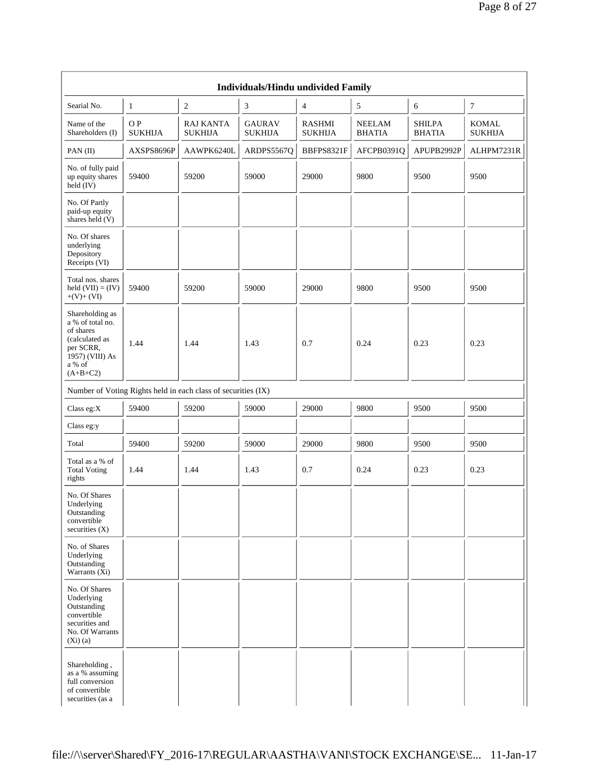| <b>Individuals/Hindu undivided Family</b>                                                                                  |                       |                                                               |                                 |                                 |                                |                                |                         |  |  |
|----------------------------------------------------------------------------------------------------------------------------|-----------------------|---------------------------------------------------------------|---------------------------------|---------------------------------|--------------------------------|--------------------------------|-------------------------|--|--|
| Searial No.                                                                                                                | $\mathbf{1}$          | $\overline{c}$                                                | 3                               | $\overline{4}$                  | 5                              | 6                              | 7                       |  |  |
| Name of the<br>Shareholders (I)                                                                                            | OP.<br><b>SUKHIJA</b> | RAJ KANTA<br><b>SUKHIJA</b>                                   | <b>GAURAV</b><br><b>SUKHIJA</b> | <b>RASHMI</b><br><b>SUKHIJA</b> | <b>NEELAM</b><br><b>BHATIA</b> | <b>SHILPA</b><br><b>BHATIA</b> | KOMAL<br><b>SUKHIJA</b> |  |  |
| PAN(II)                                                                                                                    | AXSPS8696P            | AAWPK6240L                                                    | ARDPS5567Q                      | BBFPS8321F                      | AFCPB0391Q                     | APUPB2992P                     | ALHPM7231R              |  |  |
| No. of fully paid<br>up equity shares<br>$held$ (IV)                                                                       | 59400                 | 59200                                                         | 59000                           | 29000                           | 9800                           | 9500                           | 9500                    |  |  |
| No. Of Partly<br>paid-up equity<br>shares held $(V)$                                                                       |                       |                                                               |                                 |                                 |                                |                                |                         |  |  |
| No. Of shares<br>underlying<br>Depository<br>Receipts (VI)                                                                 |                       |                                                               |                                 |                                 |                                |                                |                         |  |  |
| Total nos. shares<br>held $(VII) = (IV)$<br>$+(V)+(VI)$                                                                    | 59400                 | 59200                                                         | 59000                           | 29000                           | 9800                           | 9500                           | 9500                    |  |  |
| Shareholding as<br>a % of total no.<br>of shares<br>(calculated as<br>per SCRR,<br>1957) (VIII) As<br>a % of<br>$(A+B+C2)$ | 1.44                  | 1.44                                                          | 1.43                            | 0.7                             | 0.24                           | 0.23                           | 0.23                    |  |  |
|                                                                                                                            |                       | Number of Voting Rights held in each class of securities (IX) |                                 |                                 |                                |                                |                         |  |  |
| Class eg: $X$                                                                                                              | 59400                 | 59200                                                         | 59000                           | 29000                           | 9800                           | 9500                           | 9500                    |  |  |
| Class eg:y                                                                                                                 |                       |                                                               |                                 |                                 |                                |                                |                         |  |  |
| Total                                                                                                                      | 59400                 | 59200                                                         | 59000                           | 29000                           | 9800                           | 9500                           | 9500                    |  |  |
| Total as a $\%$ of<br><b>Total Voting</b><br>rights                                                                        | 1.44                  | 1.44                                                          | 1.43                            | 0.7                             | 0.24                           | 0.23                           | 0.23                    |  |  |
| No. Of Shares<br>Underlying<br>Outstanding<br>convertible<br>securities (X)                                                |                       |                                                               |                                 |                                 |                                |                                |                         |  |  |
| No. of Shares<br>Underlying<br>Outstanding<br>Warrants (Xi)                                                                |                       |                                                               |                                 |                                 |                                |                                |                         |  |  |
| No. Of Shares<br>Underlying<br>Outstanding<br>convertible<br>securities and<br>No. Of Warrants<br>(Xi)(a)                  |                       |                                                               |                                 |                                 |                                |                                |                         |  |  |
| Shareholding,<br>as a % assuming<br>full conversion<br>of convertible<br>securities (as a                                  |                       |                                                               |                                 |                                 |                                |                                |                         |  |  |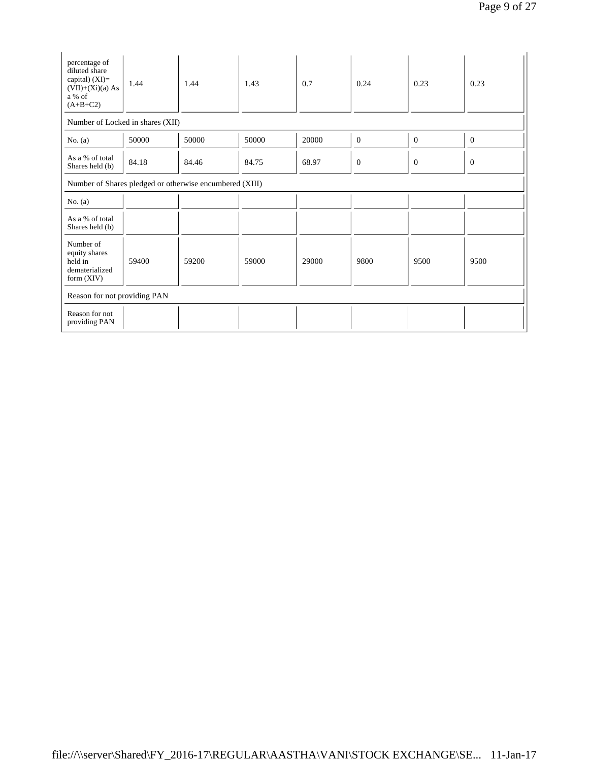| percentage of<br>diluted share<br>capital) (XI)=<br>$(VII)+(Xi)(a) As$<br>a % of<br>$(A+B+C2)$ | 1.44                             | 1.44  | 1.43  | 0.7   | 0.24           | 0.23         | 0.23         |  |  |  |
|------------------------------------------------------------------------------------------------|----------------------------------|-------|-------|-------|----------------|--------------|--------------|--|--|--|
|                                                                                                | Number of Locked in shares (XII) |       |       |       |                |              |              |  |  |  |
| No. $(a)$                                                                                      | 50000                            | 50000 | 50000 | 20000 | $\overline{0}$ | $\mathbf{0}$ | $\mathbf{0}$ |  |  |  |
| As a % of total<br>Shares held (b)                                                             | 84.18                            | 84.46 | 84.75 | 68.97 | $\Omega$       | $\mathbf{0}$ | $\mathbf{0}$ |  |  |  |
| Number of Shares pledged or otherwise encumbered (XIII)                                        |                                  |       |       |       |                |              |              |  |  |  |
| No. $(a)$                                                                                      |                                  |       |       |       |                |              |              |  |  |  |
| As a % of total<br>Shares held (b)                                                             |                                  |       |       |       |                |              |              |  |  |  |
| Number of<br>equity shares<br>held in<br>dematerialized<br>form $(XIV)$                        | 59400                            | 59200 | 59000 | 29000 | 9800           | 9500         | 9500         |  |  |  |
| Reason for not providing PAN                                                                   |                                  |       |       |       |                |              |              |  |  |  |
| Reason for not<br>providing PAN                                                                |                                  |       |       |       |                |              |              |  |  |  |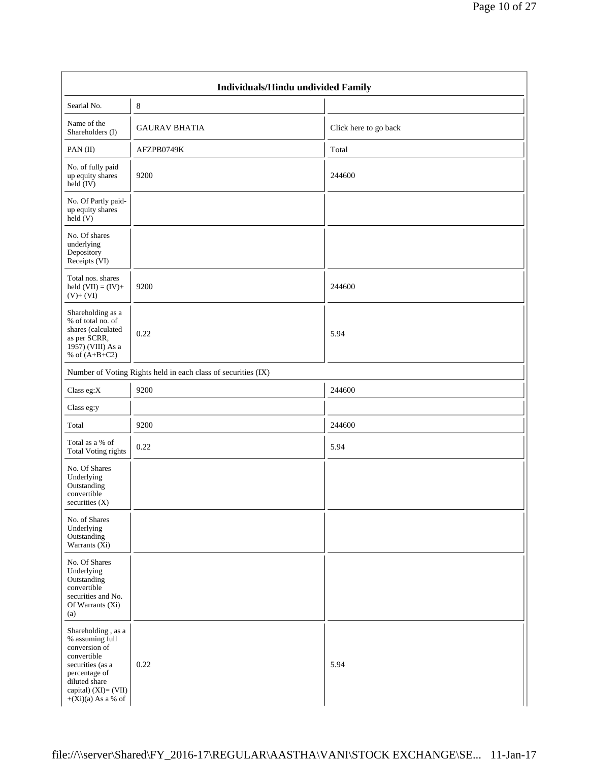| Individuals/Hindu undivided Family                                                                                                                                           |                                                               |                       |  |  |  |  |  |  |
|------------------------------------------------------------------------------------------------------------------------------------------------------------------------------|---------------------------------------------------------------|-----------------------|--|--|--|--|--|--|
| Searial No.                                                                                                                                                                  | 8                                                             |                       |  |  |  |  |  |  |
| Name of the<br>Shareholders (I)                                                                                                                                              | <b>GAURAV BHATIA</b>                                          | Click here to go back |  |  |  |  |  |  |
| PAN(II)                                                                                                                                                                      | AFZPB0749K                                                    | Total                 |  |  |  |  |  |  |
| No. of fully paid<br>up equity shares<br>held (IV)                                                                                                                           | 9200                                                          | 244600                |  |  |  |  |  |  |
| No. Of Partly paid-<br>up equity shares<br>$\text{held}(V)$                                                                                                                  |                                                               |                       |  |  |  |  |  |  |
| No. Of shares<br>underlying<br>Depository<br>Receipts (VI)                                                                                                                   |                                                               |                       |  |  |  |  |  |  |
| Total nos. shares<br>held $(VII) = (IV) +$<br>$(V)+(VI)$                                                                                                                     | 9200                                                          | 244600                |  |  |  |  |  |  |
| Shareholding as a<br>% of total no. of<br>shares (calculated<br>as per SCRR,<br>1957) (VIII) As a<br>% of $(A+B+C2)$                                                         | 0.22                                                          | 5.94                  |  |  |  |  |  |  |
|                                                                                                                                                                              | Number of Voting Rights held in each class of securities (IX) |                       |  |  |  |  |  |  |
| Class eg:X                                                                                                                                                                   | 9200                                                          | 244600                |  |  |  |  |  |  |
| Class eg:y                                                                                                                                                                   |                                                               |                       |  |  |  |  |  |  |
| Total                                                                                                                                                                        | 9200                                                          | 244600                |  |  |  |  |  |  |
| Total as a % of<br><b>Total Voting rights</b>                                                                                                                                | 0.22                                                          | 5.94                  |  |  |  |  |  |  |
| No. Of Shares<br>Underlying<br>Outstanding<br>convertible<br>securities $(X)$                                                                                                |                                                               |                       |  |  |  |  |  |  |
| No. of Shares<br>Underlying<br>Outstanding<br>Warrants (Xi)                                                                                                                  |                                                               |                       |  |  |  |  |  |  |
| No. Of Shares<br>Underlying<br>Outstanding<br>convertible<br>securities and No.<br>Of Warrants (Xi)<br>(a)                                                                   |                                                               |                       |  |  |  |  |  |  |
| Shareholding, as a<br>% assuming full<br>conversion of<br>convertible<br>securities (as a<br>percentage of<br>diluted share<br>capital) $(XI)=(VII)$<br>$+(Xi)(a)$ As a % of | 0.22                                                          | 5.94                  |  |  |  |  |  |  |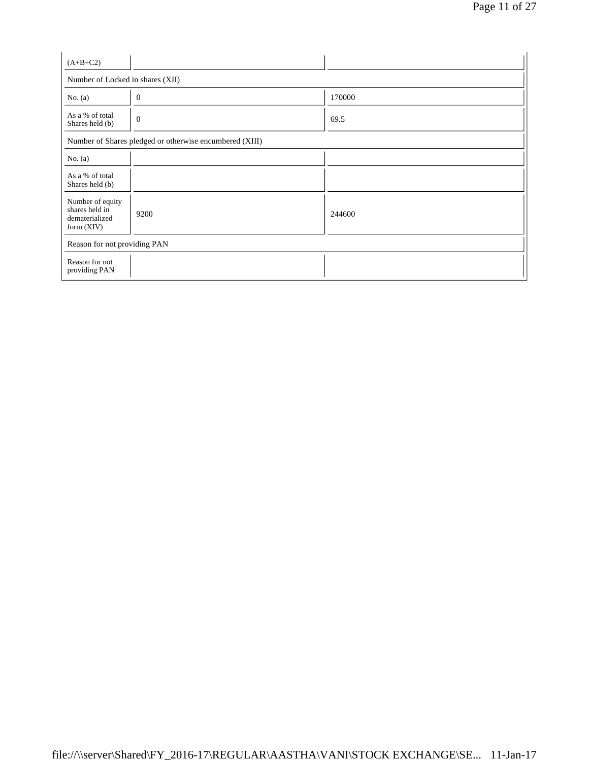| $(A+B+C2)$                                                           |                                  |        |  |  |  |  |  |  |
|----------------------------------------------------------------------|----------------------------------|--------|--|--|--|--|--|--|
|                                                                      | Number of Locked in shares (XII) |        |  |  |  |  |  |  |
| No. $(a)$                                                            | $\theta$                         | 170000 |  |  |  |  |  |  |
| As a % of total<br>Shares held (b)                                   | $\mathbf{0}$                     | 69.5   |  |  |  |  |  |  |
| Number of Shares pledged or otherwise encumbered (XIII)              |                                  |        |  |  |  |  |  |  |
| No. $(a)$                                                            |                                  |        |  |  |  |  |  |  |
| As a % of total<br>Shares held (b)                                   |                                  |        |  |  |  |  |  |  |
| Number of equity<br>shares held in<br>dematerialized<br>form $(XIV)$ | 9200                             | 244600 |  |  |  |  |  |  |
| Reason for not providing PAN                                         |                                  |        |  |  |  |  |  |  |
| Reason for not<br>providing PAN                                      |                                  |        |  |  |  |  |  |  |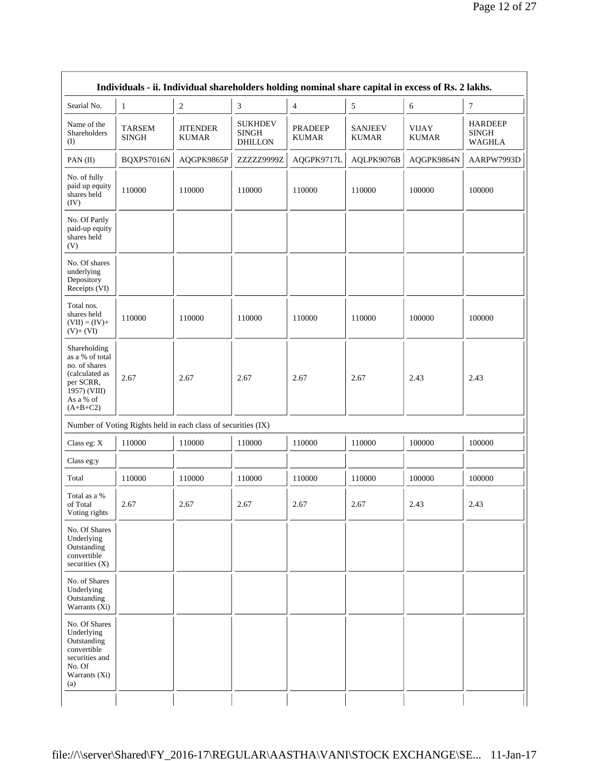| Individuals - ii. Individual shareholders holding nominal share capital in excess of Rs. 2 lakhs.                          |                               |                                                               |                                                  |                                |                                |                              |                                                 |  |
|----------------------------------------------------------------------------------------------------------------------------|-------------------------------|---------------------------------------------------------------|--------------------------------------------------|--------------------------------|--------------------------------|------------------------------|-------------------------------------------------|--|
| Searial No.                                                                                                                | $\mathbf{1}$                  | $\boldsymbol{2}$                                              | 3                                                | $\overline{4}$                 | $\mathfrak{S}$                 | 6                            | $\tau$                                          |  |
| Name of the<br>Shareholders<br>(I)                                                                                         | <b>TARSEM</b><br><b>SINGH</b> | <b>JITENDER</b><br><b>KUMAR</b>                               | <b>SUKHDEV</b><br><b>SINGH</b><br><b>DHILLON</b> | <b>PRADEEP</b><br><b>KUMAR</b> | <b>SANJEEV</b><br><b>KUMAR</b> | <b>VIJAY</b><br><b>KUMAR</b> | <b>HARDEEP</b><br><b>SINGH</b><br><b>WAGHLA</b> |  |
| PAN $(II)$                                                                                                                 | BQXPS7016N                    | AQGPK9865P                                                    | ZZZZZ9999Z                                       | AQGPK9717L                     | AQLPK9076B                     | AQGPK9864N                   | AARPW7993D                                      |  |
| No. of fully<br>paid up equity<br>shares held<br>(IV)                                                                      | 110000                        | 110000                                                        | 110000                                           | 110000                         | 110000                         | 100000                       | 100000                                          |  |
| No. Of Partly<br>paid-up equity<br>shares held<br>(V)                                                                      |                               |                                                               |                                                  |                                |                                |                              |                                                 |  |
| No. Of shares<br>underlying<br>Depository<br>Receipts (VI)                                                                 |                               |                                                               |                                                  |                                |                                |                              |                                                 |  |
| Total nos.<br>shares held<br>$(VII) = (IV) +$<br>$(V)+(VI)$                                                                | 110000                        | 110000                                                        | 110000                                           | 110000                         | 110000                         | 100000                       | 100000                                          |  |
| Shareholding<br>as a % of total<br>no. of shares<br>(calculated as<br>per SCRR,<br>1957) (VIII)<br>As a % of<br>$(A+B+C2)$ | 2.67                          | 2.67                                                          | 2.67                                             | 2.67                           | 2.67                           | 2.43                         | 2.43                                            |  |
|                                                                                                                            |                               | Number of Voting Rights held in each class of securities (IX) |                                                  |                                |                                |                              |                                                 |  |
| Class eg: X                                                                                                                | 110000                        | 110000                                                        | 110000                                           | 110000                         | 110000                         | 100000                       | 100000                                          |  |
| Class eg:y                                                                                                                 |                               |                                                               |                                                  |                                |                                |                              |                                                 |  |
| Total                                                                                                                      | 110000                        | 110000                                                        | 110000                                           | 110000                         | 110000                         | 100000                       | 100000                                          |  |
| Total as a %<br>of Total<br>Voting rights                                                                                  | 2.67                          | 2.67                                                          | 2.67                                             | 2.67                           | 2.67                           | 2.43                         | 2.43                                            |  |
| No. Of Shares<br>Underlying<br>Outstanding<br>convertible<br>securities $(X)$                                              |                               |                                                               |                                                  |                                |                                |                              |                                                 |  |
| No. of Shares<br>Underlying<br>Outstanding<br>Warrants (Xi)                                                                |                               |                                                               |                                                  |                                |                                |                              |                                                 |  |
| No. Of Shares<br>Underlying<br>Outstanding<br>convertible<br>securities and<br>No. Of<br>Warrants (Xi)<br>(a)              |                               |                                                               |                                                  |                                |                                |                              |                                                 |  |
|                                                                                                                            |                               |                                                               |                                                  |                                |                                |                              |                                                 |  |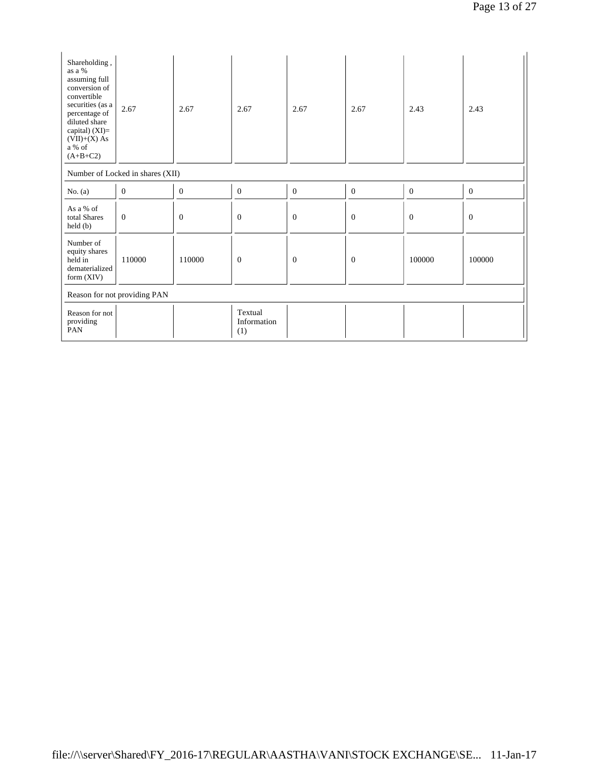| Shareholding,<br>as a %<br>assuming full<br>conversion of<br>convertible<br>securities (as a<br>percentage of<br>diluted share<br>capital) $(XI)=$<br>$(VII)+(X)$ As<br>a % of<br>$(A+B+C2)$ | 2.67                             | 2.67           | 2.67                          | 2.67         | 2.67           | 2.43         | 2.43           |  |
|----------------------------------------------------------------------------------------------------------------------------------------------------------------------------------------------|----------------------------------|----------------|-------------------------------|--------------|----------------|--------------|----------------|--|
|                                                                                                                                                                                              | Number of Locked in shares (XII) |                |                               |              |                |              |                |  |
| No. $(a)$                                                                                                                                                                                    | $\overline{0}$                   | $\overline{0}$ | $\mathbf{0}$                  | $\mathbf{0}$ | $\mathbf{0}$   | $\mathbf{0}$ | $\overline{0}$ |  |
| As a % of<br>total Shares<br>$\text{held}(\text{b})$                                                                                                                                         | $\overline{0}$                   | $\mathbf{0}$   | $\overline{0}$                | $\theta$     | $\overline{0}$ | $\mathbf{0}$ | $\overline{0}$ |  |
| Number of<br>equity shares<br>held in<br>dematerialized<br>form (XIV)                                                                                                                        | 110000                           | 110000         | $\mathbf{0}$                  | $\theta$     | $\overline{0}$ | 100000       | 100000         |  |
|                                                                                                                                                                                              | Reason for not providing PAN     |                |                               |              |                |              |                |  |
| Reason for not<br>providing<br>PAN                                                                                                                                                           |                                  |                | Textual<br>Information<br>(1) |              |                |              |                |  |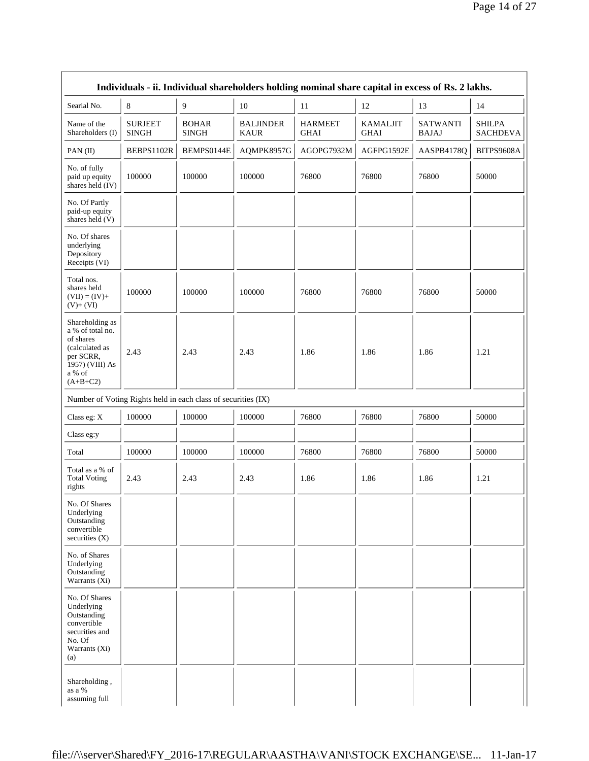|                                                                                                                            |                                |                                                               | Individuals - ii. Individual shareholders holding nominal share capital in excess of Rs. 2 lakhs. |                               |                                |                                 |                                  |
|----------------------------------------------------------------------------------------------------------------------------|--------------------------------|---------------------------------------------------------------|---------------------------------------------------------------------------------------------------|-------------------------------|--------------------------------|---------------------------------|----------------------------------|
| Searial No.                                                                                                                | 8                              | 9                                                             | 10                                                                                                | 11                            | 12                             | 13                              | 14                               |
| Name of the<br>Shareholders (I)                                                                                            | <b>SURJEET</b><br><b>SINGH</b> | <b>BOHAR</b><br><b>SINGH</b>                                  | <b>BALJINDER</b><br><b>KAUR</b>                                                                   | <b>HARMEET</b><br><b>GHAI</b> | <b>KAMALJIT</b><br><b>GHAI</b> | <b>SATWANTI</b><br><b>BAJAJ</b> | <b>SHILPA</b><br><b>SACHDEVA</b> |
| PAN(II)                                                                                                                    | BEBPS1102R                     | BEMPS0144E                                                    | AQMPK8957G                                                                                        | AGOPG7932M                    | AGFPG1592E                     | AASPB4178Q                      | BITPS9608A                       |
| No. of fully<br>paid up equity<br>shares held (IV)                                                                         | 100000                         | 100000                                                        | 100000                                                                                            | 76800                         | 76800                          | 76800                           | 50000                            |
| No. Of Partly<br>paid-up equity<br>shares held (V)                                                                         |                                |                                                               |                                                                                                   |                               |                                |                                 |                                  |
| No. Of shares<br>underlying<br>Depository<br>Receipts (VI)                                                                 |                                |                                                               |                                                                                                   |                               |                                |                                 |                                  |
| Total nos.<br>shares held<br>$(VII) = (IV) +$<br>$(V)+(VI)$                                                                | 100000                         | 100000                                                        | 100000                                                                                            | 76800                         | 76800                          | 76800                           | 50000                            |
| Shareholding as<br>a % of total no.<br>of shares<br>(calculated as<br>per SCRR,<br>1957) (VIII) As<br>a % of<br>$(A+B+C2)$ | 2.43                           | 2.43                                                          | 2.43                                                                                              | 1.86                          | 1.86                           | 1.86                            | 1.21                             |
|                                                                                                                            |                                | Number of Voting Rights held in each class of securities (IX) |                                                                                                   |                               |                                |                                 |                                  |
| Class eg: X                                                                                                                | 100000                         | 100000                                                        | 100000                                                                                            | 76800                         | 76800                          | 76800                           | 50000                            |
| Class eg:y                                                                                                                 |                                |                                                               |                                                                                                   |                               |                                |                                 |                                  |
| Total                                                                                                                      | 100000                         | 100000                                                        | 100000                                                                                            | 76800                         | 76800                          | 76800                           | 50000                            |
| Total as a % of<br><b>Total Voting</b><br>rights                                                                           | 2.43                           | 2.43                                                          | 2.43                                                                                              | 1.86                          | 1.86                           | 1.86                            | 1.21                             |
| No. Of Shares<br>Underlying<br>Outstanding<br>convertible<br>securities $(X)$                                              |                                |                                                               |                                                                                                   |                               |                                |                                 |                                  |
| No. of Shares<br>Underlying<br>Outstanding<br>Warrants (Xi)                                                                |                                |                                                               |                                                                                                   |                               |                                |                                 |                                  |
| No. Of Shares<br>Underlying<br>Outstanding<br>convertible<br>securities and<br>No. Of<br>Warrants (Xi)<br>(a)              |                                |                                                               |                                                                                                   |                               |                                |                                 |                                  |
| Shareholding,<br>as a %<br>assuming full                                                                                   |                                |                                                               |                                                                                                   |                               |                                |                                 |                                  |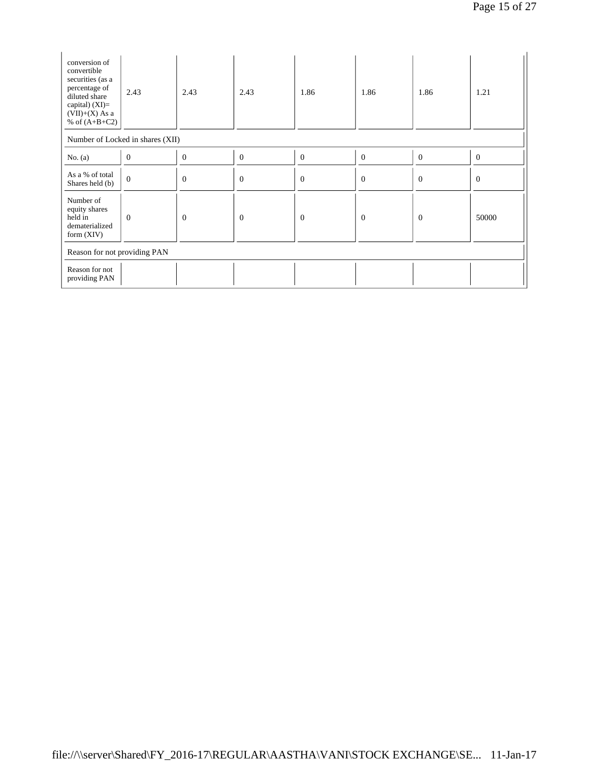| conversion of<br>convertible<br>securities (as a<br>percentage of<br>diluted share<br>capital) $(XI)=$<br>$(VII)+(X)$ As a<br>% of $(A+B+C2)$ | 2.43                             | 2.43           | 2.43           | 1.86         | 1.86     | 1.86     | 1.21         |  |
|-----------------------------------------------------------------------------------------------------------------------------------------------|----------------------------------|----------------|----------------|--------------|----------|----------|--------------|--|
|                                                                                                                                               | Number of Locked in shares (XII) |                |                |              |          |          |              |  |
| No. $(a)$                                                                                                                                     | $\mathbf{0}$                     | $\theta$       | $\theta$       | $\theta$     | $\theta$ | $\theta$ | $\mathbf{0}$ |  |
| As a % of total<br>Shares held (b)                                                                                                            | $\overline{0}$                   | $\theta$       | $\overline{0}$ | $\mathbf{0}$ | $\theta$ | $\theta$ | $\mathbf{0}$ |  |
| Number of<br>equity shares<br>held in<br>dematerialized<br>form $(XIV)$                                                                       | $\theta$                         | $\overline{0}$ | $\overline{0}$ | $\theta$     | $\theta$ | $\theta$ | 50000        |  |
| Reason for not providing PAN                                                                                                                  |                                  |                |                |              |          |          |              |  |
| Reason for not<br>providing PAN                                                                                                               |                                  |                |                |              |          |          |              |  |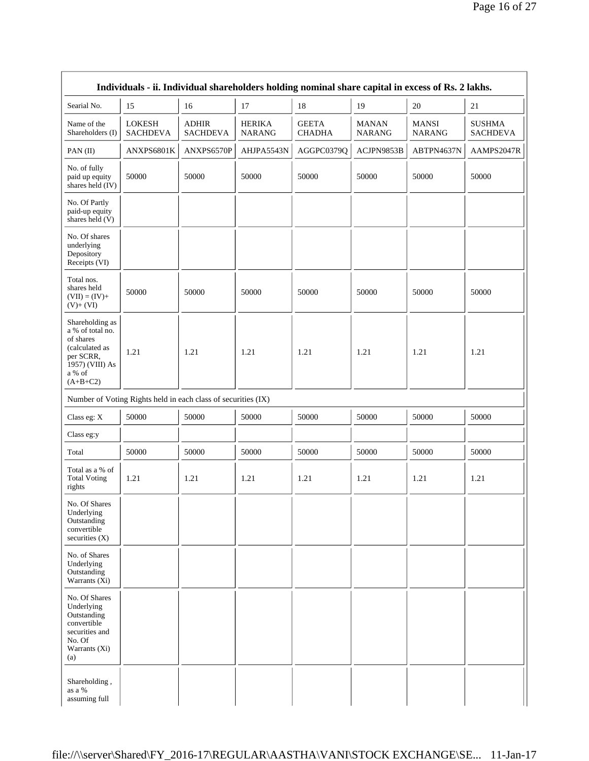|                                                                                                                            |                                                               |                                 |                                | Individuals - ii. Individual shareholders holding nominal share capital in excess of Rs. 2 lakhs. |                               |                               |                                  |
|----------------------------------------------------------------------------------------------------------------------------|---------------------------------------------------------------|---------------------------------|--------------------------------|---------------------------------------------------------------------------------------------------|-------------------------------|-------------------------------|----------------------------------|
| Searial No.                                                                                                                | 15                                                            | 16                              | 17                             | 18                                                                                                | 19                            | 20                            | 21                               |
| Name of the<br>Shareholders (I)                                                                                            | <b>LOKESH</b><br><b>SACHDEVA</b>                              | <b>ADHIR</b><br><b>SACHDEVA</b> | <b>HERIKA</b><br><b>NARANG</b> | <b>GEETA</b><br><b>CHADHA</b>                                                                     | <b>MANAN</b><br><b>NARANG</b> | <b>MANSI</b><br><b>NARANG</b> | <b>SUSHMA</b><br><b>SACHDEVA</b> |
| PAN(II)                                                                                                                    | ANXPS6801K                                                    | ANXPS6570P                      | AHJPA5543N                     | AGGPC0379Q                                                                                        | ACJPN9853B                    | ABTPN4637N                    | AAMPS2047R                       |
| No. of fully<br>paid up equity<br>shares held $(IV)$                                                                       | 50000                                                         | 50000                           | 50000                          | 50000                                                                                             | 50000                         | 50000                         | 50000                            |
| No. Of Partly<br>paid-up equity<br>shares held (V)                                                                         |                                                               |                                 |                                |                                                                                                   |                               |                               |                                  |
| No. Of shares<br>underlying<br>Depository<br>Receipts (VI)                                                                 |                                                               |                                 |                                |                                                                                                   |                               |                               |                                  |
| Total nos.<br>shares held<br>$(VII) = (IV) +$<br>$(V)+(VI)$                                                                | 50000                                                         | 50000                           | 50000                          | 50000                                                                                             | 50000                         | 50000                         | 50000                            |
| Shareholding as<br>a % of total no.<br>of shares<br>(calculated as<br>per SCRR,<br>1957) (VIII) As<br>a % of<br>$(A+B+C2)$ | 1.21                                                          | 1.21                            | 1.21                           | 1.21                                                                                              | 1.21                          | 1.21                          | 1.21                             |
|                                                                                                                            | Number of Voting Rights held in each class of securities (IX) |                                 |                                |                                                                                                   |                               |                               |                                  |
| Class eg: X                                                                                                                | 50000                                                         | 50000                           | 50000                          | 50000                                                                                             | 50000                         | 50000                         | 50000                            |
| Class eg:y                                                                                                                 |                                                               |                                 |                                |                                                                                                   |                               |                               |                                  |
| Total                                                                                                                      | 50000                                                         | 50000                           | 50000                          | 50000                                                                                             | 50000                         | 50000                         | 50000                            |
| Total as a % of<br><b>Total Voting</b><br>rights                                                                           | 1.21                                                          | 1.21                            | 1.21                           | 1.21                                                                                              | 1.21                          | 1.21                          | 1.21                             |
| No. Of Shares<br>Underlying<br>Outstanding<br>convertible<br>securities $(X)$                                              |                                                               |                                 |                                |                                                                                                   |                               |                               |                                  |
| No. of Shares<br>Underlying<br>Outstanding<br>Warrants (Xi)                                                                |                                                               |                                 |                                |                                                                                                   |                               |                               |                                  |
| No. Of Shares<br>Underlying<br>Outstanding<br>convertible<br>securities and<br>No. Of<br>Warrants (Xi)<br>(a)              |                                                               |                                 |                                |                                                                                                   |                               |                               |                                  |
| Shareholding,<br>as a %<br>assuming full                                                                                   |                                                               |                                 |                                |                                                                                                   |                               |                               |                                  |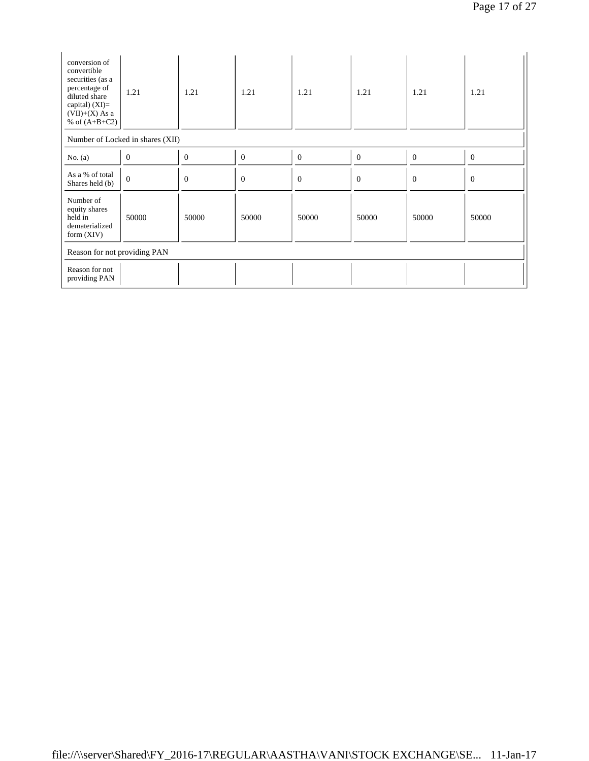| conversion of<br>convertible<br>securities (as a<br>percentage of<br>diluted share<br>capital) $(XI)=$<br>$(VII)+(X)$ As a<br>% of $(A+B+C2)$ | 1.21                             | 1.21     | 1.21           | 1.21         | 1.21     | 1.21     | 1.21         |  |  |
|-----------------------------------------------------------------------------------------------------------------------------------------------|----------------------------------|----------|----------------|--------------|----------|----------|--------------|--|--|
|                                                                                                                                               | Number of Locked in shares (XII) |          |                |              |          |          |              |  |  |
| No. $(a)$                                                                                                                                     | $\boldsymbol{0}$                 | $\Omega$ | $\overline{0}$ | $\theta$     | $\theta$ | $\theta$ | $\mathbf{0}$ |  |  |
| As a % of total<br>Shares held (b)                                                                                                            | $\overline{0}$                   | $\Omega$ | $\overline{0}$ | $\mathbf{0}$ | $\theta$ | $\Omega$ | $\theta$     |  |  |
| Number of<br>equity shares<br>held in<br>dematerialized<br>form $(XIV)$                                                                       | 50000                            | 50000    | 50000          | 50000        | 50000    | 50000    | 50000        |  |  |
| Reason for not providing PAN                                                                                                                  |                                  |          |                |              |          |          |              |  |  |
| Reason for not<br>providing PAN                                                                                                               |                                  |          |                |              |          |          |              |  |  |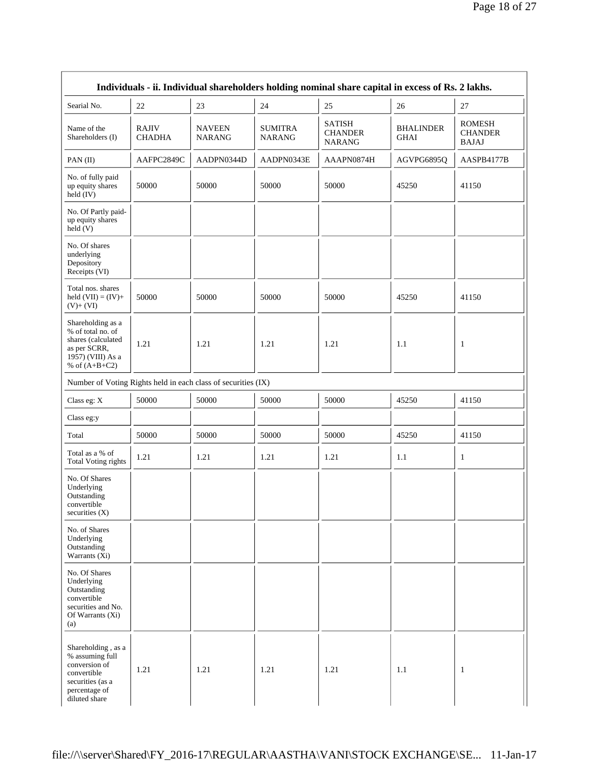| Individuals - ii. Individual shareholders holding nominal share capital in excess of Rs. 2 lakhs.                           |                               |                                |                          |                                                  |                          |                                                 |  |  |  |
|-----------------------------------------------------------------------------------------------------------------------------|-------------------------------|--------------------------------|--------------------------|--------------------------------------------------|--------------------------|-------------------------------------------------|--|--|--|
| Searial No.                                                                                                                 | 22                            | 23                             | 24                       | 25                                               | 26                       | $27\,$                                          |  |  |  |
| Name of the<br>Shareholders (I)                                                                                             | <b>RAJIV</b><br><b>CHADHA</b> | <b>NAVEEN</b><br><b>NARANG</b> | <b>SUMITRA</b><br>NARANG | <b>SATISH</b><br><b>CHANDER</b><br><b>NARANG</b> | <b>BHALINDER</b><br>GHAI | <b>ROMESH</b><br><b>CHANDER</b><br><b>BAJAJ</b> |  |  |  |
| PAN(II)                                                                                                                     | AAFPC2849C                    | AADPN0344D                     | AADPN0343E               | AAAPN0874H                                       | AGVPG6895Q               | AASPB4177B                                      |  |  |  |
| No. of fully paid<br>up equity shares<br>held (IV)                                                                          | 50000                         | 50000                          | 50000                    | 50000                                            | 45250                    | 41150                                           |  |  |  |
| No. Of Partly paid-<br>up equity shares<br>$\text{held}(V)$                                                                 |                               |                                |                          |                                                  |                          |                                                 |  |  |  |
| No. Of shares<br>underlying<br>Depository<br>Receipts (VI)                                                                  |                               |                                |                          |                                                  |                          |                                                 |  |  |  |
| Total nos. shares<br>held $(VII) = (IV) +$<br>$(V)+(VI)$                                                                    | 50000                         | 50000                          | 50000                    | 50000                                            | 45250                    | 41150                                           |  |  |  |
| Shareholding as a<br>% of total no. of<br>shares (calculated<br>as per SCRR,<br>1957) (VIII) As a<br>% of $(A+B+C2)$        | 1.21                          | 1.21                           | 1.21                     | 1.21                                             | 1.1                      | 1                                               |  |  |  |
| Number of Voting Rights held in each class of securities (IX)                                                               |                               |                                |                          |                                                  |                          |                                                 |  |  |  |
| Class eg: X                                                                                                                 | 50000                         | 50000                          | 50000                    | 50000                                            | 45250                    | 41150                                           |  |  |  |
| Class eg:y                                                                                                                  |                               |                                |                          |                                                  |                          |                                                 |  |  |  |
| Total                                                                                                                       | 50000                         | 50000                          | 50000                    | 50000                                            | 45250                    | 41150                                           |  |  |  |
| Total as a % of<br><b>Total Voting rights</b>                                                                               | 1.21                          | 1.21                           | 1.21                     | 1.21                                             | 1.1                      | $\mathbf{1}$                                    |  |  |  |
| No. Of Shares<br>Underlying<br>Outstanding<br>convertible<br>securities $(X)$                                               |                               |                                |                          |                                                  |                          |                                                 |  |  |  |
| No. of Shares<br>Underlying<br>Outstanding<br>Warrants (Xi)                                                                 |                               |                                |                          |                                                  |                          |                                                 |  |  |  |
| No. Of Shares<br>Underlying<br>Outstanding<br>convertible<br>securities and No.<br>Of Warrants (Xi)<br>(a)                  |                               |                                |                          |                                                  |                          |                                                 |  |  |  |
| Shareholding, as a<br>% assuming full<br>conversion of<br>convertible<br>securities (as a<br>percentage of<br>diluted share | 1.21                          | 1.21                           | 1.21                     | 1.21                                             | 1.1                      | $\mathbf{1}$                                    |  |  |  |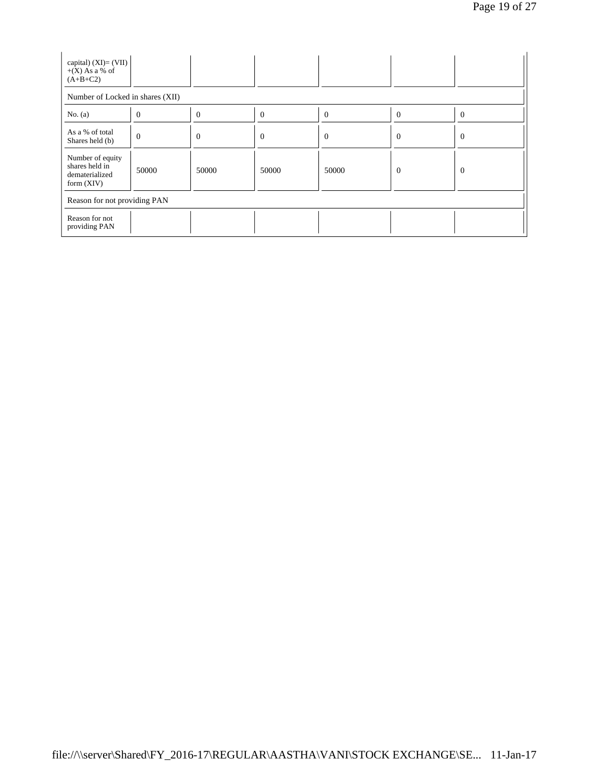| capital) $(XI) = (VII)$<br>$+(X)$ As a % of<br>$(A+B+C2)$            |              |          |          |                |                |                |  |  |  |
|----------------------------------------------------------------------|--------------|----------|----------|----------------|----------------|----------------|--|--|--|
| Number of Locked in shares (XII)                                     |              |          |          |                |                |                |  |  |  |
| No. $(a)$                                                            | $\theta$     | $\Omega$ | $\theta$ | $\overline{0}$ | $\theta$       | $\overline{0}$ |  |  |  |
| As a % of total<br>Shares held (b)                                   | $\mathbf{0}$ | $\theta$ | $\theta$ | $\theta$       | $\theta$       | $\overline{0}$ |  |  |  |
| Number of equity<br>shares held in<br>dematerialized<br>form $(XIV)$ | 50000        | 50000    | 50000    | 50000          | $\overline{0}$ | $\overline{0}$ |  |  |  |
| Reason for not providing PAN                                         |              |          |          |                |                |                |  |  |  |
| Reason for not<br>providing PAN                                      |              |          |          |                |                |                |  |  |  |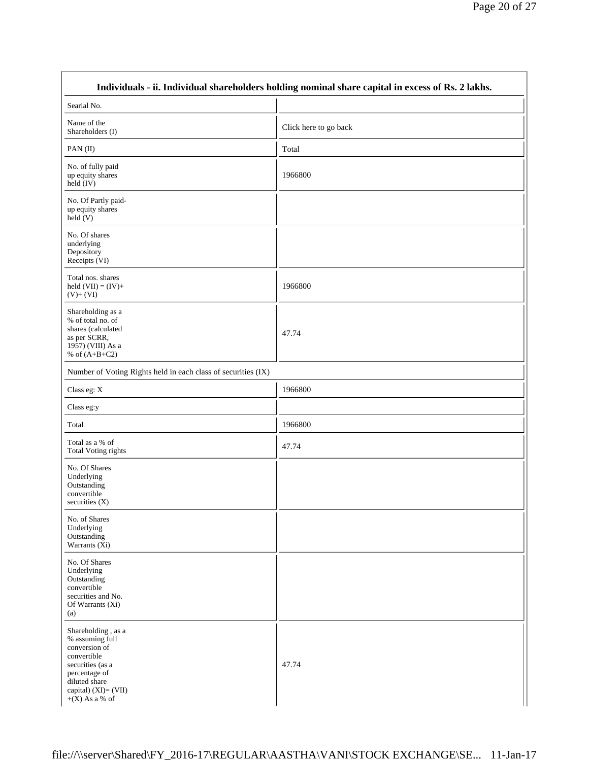|                                                                                                                                                                          | Individuals - ii. Individual shareholders holding nominal share capital in excess of Rs. 2 lakhs. |
|--------------------------------------------------------------------------------------------------------------------------------------------------------------------------|---------------------------------------------------------------------------------------------------|
| Searial No.                                                                                                                                                              |                                                                                                   |
| Name of the<br>Shareholders (I)                                                                                                                                          | Click here to go back                                                                             |
| PAN(II)                                                                                                                                                                  | Total                                                                                             |
| No. of fully paid<br>up equity shares<br>$held$ (IV)                                                                                                                     | 1966800                                                                                           |
| No. Of Partly paid-<br>up equity shares<br>$\text{held}(V)$                                                                                                              |                                                                                                   |
| No. Of shares<br>underlying<br>Depository<br>Receipts (VI)                                                                                                               |                                                                                                   |
| Total nos. shares<br>held $(VII) = (IV) +$<br>$(V)+(VI)$                                                                                                                 | 1966800                                                                                           |
| Shareholding as a<br>% of total no. of<br>shares (calculated<br>as per SCRR,<br>1957) (VIII) As a<br>% of $(A+B+C2)$                                                     | 47.74                                                                                             |
| Number of Voting Rights held in each class of securities (IX)                                                                                                            |                                                                                                   |
| Class eg: X                                                                                                                                                              | 1966800                                                                                           |
| Class eg:y                                                                                                                                                               |                                                                                                   |
| Total                                                                                                                                                                    | 1966800                                                                                           |
| Total as a % of<br><b>Total Voting rights</b>                                                                                                                            | 47.74                                                                                             |
| No. Of Shares<br>Underlying<br>Outstanding<br>convertible<br>securities $(X)$                                                                                            |                                                                                                   |
| No. of Shares<br>Underlying<br>Outstanding<br>Warrants (Xi)                                                                                                              |                                                                                                   |
| No. Of Shares<br>Underlying<br>Outstanding<br>convertible<br>securities and No.<br>Of Warrants (Xi)<br>(a)                                                               |                                                                                                   |
| Shareholding, as a<br>% assuming full<br>conversion of<br>convertible<br>securities (as a<br>percentage of<br>diluted share<br>capital) $(XI)=(VII)$<br>$+(X)$ As a % of | 47.74                                                                                             |

 $\Gamma$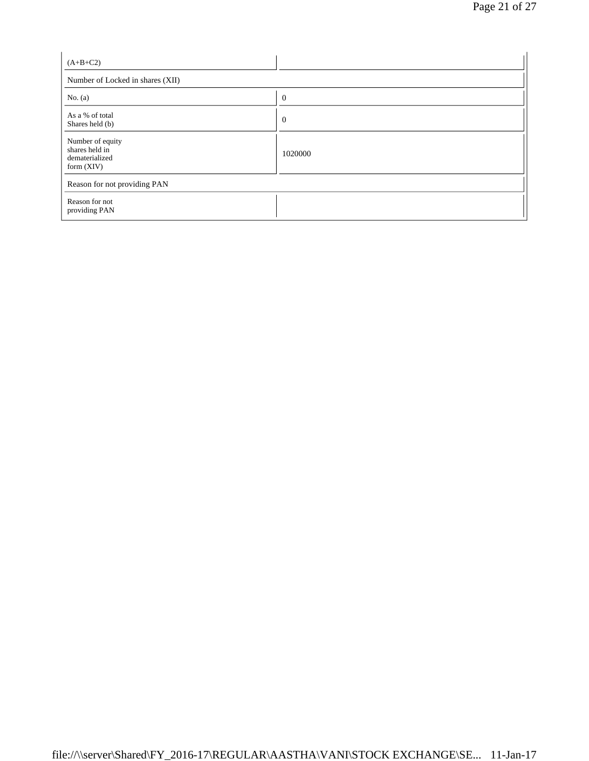| $(A+B+C2)$                                                           |                |  |  |  |  |  |
|----------------------------------------------------------------------|----------------|--|--|--|--|--|
| Number of Locked in shares (XII)                                     |                |  |  |  |  |  |
| No. $(a)$                                                            | $\overline{0}$ |  |  |  |  |  |
| As a % of total<br>Shares held (b)                                   | $\overline{0}$ |  |  |  |  |  |
| Number of equity<br>shares held in<br>dematerialized<br>form $(XIV)$ | 1020000        |  |  |  |  |  |
| Reason for not providing PAN                                         |                |  |  |  |  |  |
| Reason for not<br>providing PAN                                      |                |  |  |  |  |  |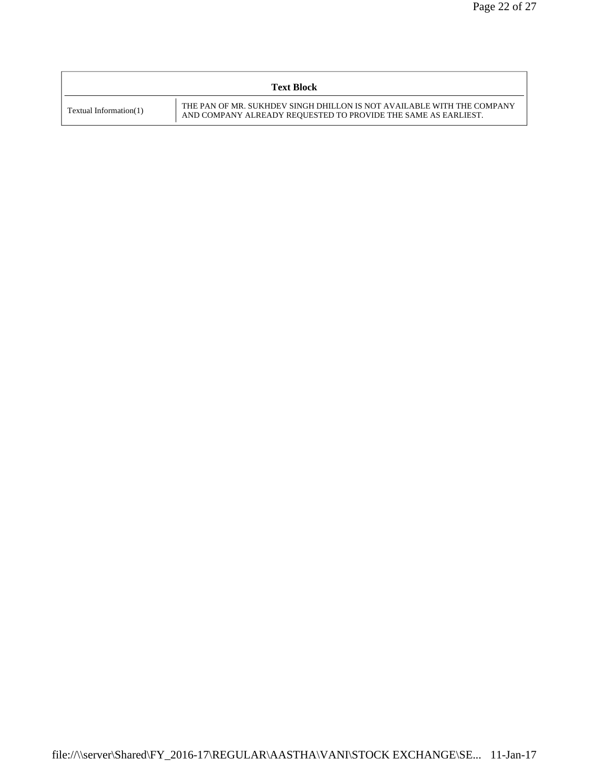|                        | <b>Text Block</b>                                                                                                                        |
|------------------------|------------------------------------------------------------------------------------------------------------------------------------------|
| Textual Information(1) | THE PAN OF MR. SUKHDEV SINGH DHILLON IS NOT AVAILABLE WITH THE COMPANY<br>AND COMPANY ALREADY REQUESTED TO PROVIDE THE SAME AS EARLIEST. |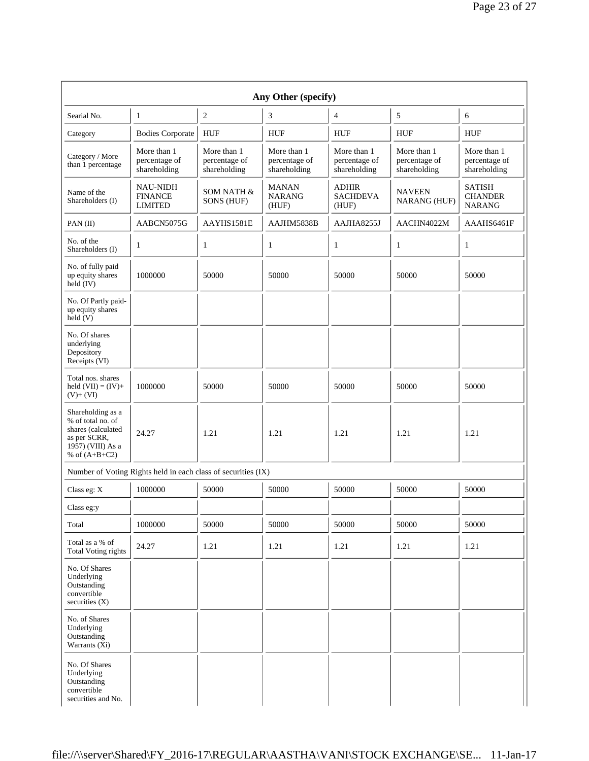| Any Other (specify)                                                                                                  |                                                               |                                              |                                              |                                              |                                              |                                                  |  |  |  |
|----------------------------------------------------------------------------------------------------------------------|---------------------------------------------------------------|----------------------------------------------|----------------------------------------------|----------------------------------------------|----------------------------------------------|--------------------------------------------------|--|--|--|
| Searial No.                                                                                                          | $\mathbf{1}$                                                  | $\sqrt{2}$                                   | 3                                            | $\overline{4}$                               | $\sqrt{5}$                                   | 6                                                |  |  |  |
| Category                                                                                                             | <b>Bodies Corporate</b>                                       | <b>HUF</b>                                   | <b>HUF</b>                                   | <b>HUF</b>                                   | <b>HUF</b>                                   | <b>HUF</b>                                       |  |  |  |
| Category / More<br>than 1 percentage                                                                                 | More than 1<br>percentage of<br>shareholding                  | More than 1<br>percentage of<br>shareholding | More than 1<br>percentage of<br>shareholding | More than 1<br>percentage of<br>shareholding | More than 1<br>percentage of<br>shareholding | More than 1<br>percentage of<br>shareholding     |  |  |  |
| Name of the<br>Shareholders (I)                                                                                      | <b>NAU-NIDH</b><br><b>FINANCE</b><br><b>LIMITED</b>           | SOM NATH &<br>SONS (HUF)                     | <b>MANAN</b><br><b>NARANG</b><br>(HUF)       | <b>ADHIR</b><br><b>SACHDEVA</b><br>(HUF)     | <b>NAVEEN</b><br>NARANG (HUF)                | <b>SATISH</b><br><b>CHANDER</b><br><b>NARANG</b> |  |  |  |
| $PAN$ (II)                                                                                                           | AABCN5075G                                                    | AAYHS1581E                                   | AAJHM5838B                                   | AAJHA8255J                                   | AACHN4022M                                   | AAAHS6461F                                       |  |  |  |
| No. of the<br>Shareholders (I)                                                                                       | $\mathbf{1}$                                                  | $\mathbf{1}$                                 | 1                                            | $\mathbf{1}$                                 | $\mathbf{1}$                                 | $\mathbf{1}$                                     |  |  |  |
| No. of fully paid<br>up equity shares<br>held (IV)                                                                   | 1000000                                                       | 50000                                        | 50000                                        | 50000                                        | 50000                                        | 50000                                            |  |  |  |
| No. Of Partly paid-<br>up equity shares<br>held(V)                                                                   |                                                               |                                              |                                              |                                              |                                              |                                                  |  |  |  |
| No. Of shares<br>underlying<br>Depository<br>Receipts (VI)                                                           |                                                               |                                              |                                              |                                              |                                              |                                                  |  |  |  |
| Total nos. shares<br>held $(VII) = (IV) +$<br>$(V)+(VI)$                                                             | 1000000                                                       | 50000                                        | 50000                                        | 50000                                        | 50000                                        | 50000                                            |  |  |  |
| Shareholding as a<br>% of total no. of<br>shares (calculated<br>as per SCRR,<br>1957) (VIII) As a<br>% of $(A+B+C2)$ | 24.27                                                         | 1.21                                         | 1.21                                         | 1.21                                         | 1.21                                         | 1.21                                             |  |  |  |
|                                                                                                                      | Number of Voting Rights held in each class of securities (IX) |                                              |                                              |                                              |                                              |                                                  |  |  |  |
| Class eg: X                                                                                                          | 1000000                                                       | 50000                                        | 50000                                        | 50000                                        | 50000                                        | 50000                                            |  |  |  |
| Class eg:y                                                                                                           |                                                               |                                              |                                              |                                              |                                              |                                                  |  |  |  |
| Total                                                                                                                | 1000000                                                       | 50000                                        | 50000                                        | 50000                                        | 50000                                        | 50000                                            |  |  |  |
| Total as a % of<br><b>Total Voting rights</b>                                                                        | 24.27                                                         | 1.21                                         | 1.21                                         | 1.21                                         | 1.21                                         | 1.21                                             |  |  |  |
| No. Of Shares<br>Underlying<br>Outstanding<br>convertible<br>securities (X)                                          |                                                               |                                              |                                              |                                              |                                              |                                                  |  |  |  |
| No. of Shares<br>Underlying<br>Outstanding<br>Warrants (Xi)                                                          |                                                               |                                              |                                              |                                              |                                              |                                                  |  |  |  |
| No. Of Shares<br>Underlying<br>Outstanding<br>convertible<br>securities and No.                                      |                                                               |                                              |                                              |                                              |                                              |                                                  |  |  |  |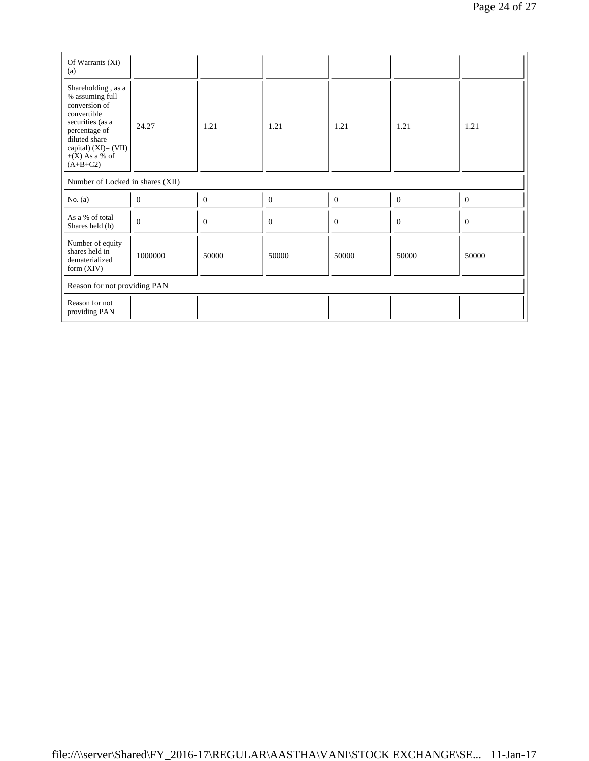| Of Warrants (Xi)<br>(a)                                                                                                                                                                  |              |                |          |                |          |          |  |  |
|------------------------------------------------------------------------------------------------------------------------------------------------------------------------------------------|--------------|----------------|----------|----------------|----------|----------|--|--|
| Shareholding, as a<br>% assuming full<br>conversion of<br>convertible<br>securities (as a<br>percentage of<br>diluted share<br>capital) $(XI) = (VII)$<br>$+(X)$ As a % of<br>$(A+B+C2)$ | 24.27        | 1.21           | 1.21     | 1.21           | 1.21     | 1.21     |  |  |
| Number of Locked in shares (XII)                                                                                                                                                         |              |                |          |                |          |          |  |  |
| No. $(a)$                                                                                                                                                                                | $\mathbf{0}$ | $\mathbf{0}$   | $\theta$ | $\mathbf{0}$   | $\theta$ | $\theta$ |  |  |
| As a % of total<br>Shares held (b)                                                                                                                                                       | $\mathbf{0}$ | $\overline{0}$ | $\theta$ | $\overline{0}$ | $\theta$ | $\theta$ |  |  |
| Number of equity<br>shares held in<br>dematerialized<br>form $(XIV)$                                                                                                                     | 1000000      | 50000          | 50000    | 50000          | 50000    | 50000    |  |  |
| Reason for not providing PAN                                                                                                                                                             |              |                |          |                |          |          |  |  |
| Reason for not<br>providing PAN                                                                                                                                                          |              |                |          |                |          |          |  |  |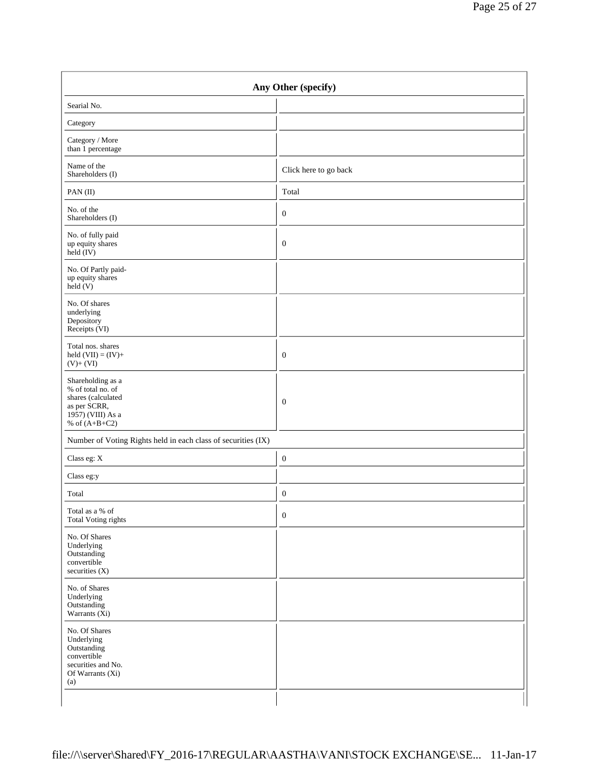| Any Other (specify)                                                                                                  |                       |  |
|----------------------------------------------------------------------------------------------------------------------|-----------------------|--|
| Searial No.                                                                                                          |                       |  |
| Category                                                                                                             |                       |  |
| Category / More<br>than 1 percentage                                                                                 |                       |  |
| Name of the<br>Shareholders (I)                                                                                      | Click here to go back |  |
| PAN(II)                                                                                                              | Total                 |  |
| No. of the<br>Shareholders (I)                                                                                       | $\mathbf{0}$          |  |
| No. of fully paid<br>up equity shares<br>$\text{held} (IV)$                                                          | $\mathbf{0}$          |  |
| No. Of Partly paid-<br>up equity shares<br>$\text{held}(V)$                                                          |                       |  |
| No. Of shares<br>underlying<br>Depository<br>Receipts (VI)                                                           |                       |  |
| Total nos. shares<br>held $(VII) = (IV) +$<br>$(V)+(VI)$                                                             | $\mathbf{0}$          |  |
| Shareholding as a<br>% of total no. of<br>shares (calculated<br>as per SCRR,<br>1957) (VIII) As a<br>% of $(A+B+C2)$ | $\boldsymbol{0}$      |  |
| Number of Voting Rights held in each class of securities (IX)                                                        |                       |  |
| Class eg: $\mathbf X$                                                                                                | $\boldsymbol{0}$      |  |
| Class eg:y                                                                                                           |                       |  |
| Total                                                                                                                | $\boldsymbol{0}$      |  |
| Total as a $\%$ of<br><b>Total Voting rights</b>                                                                     | $\boldsymbol{0}$      |  |
| No. Of Shares<br>Underlying<br>Outstanding<br>convertible<br>securities (X)                                          |                       |  |
| No. of Shares<br>Underlying<br>Outstanding<br>Warrants $(Xi)$                                                        |                       |  |
| No. Of Shares<br>Underlying<br>Outstanding<br>convertible<br>securities and No.<br>Of Warrants (Xi)<br>(a)           |                       |  |